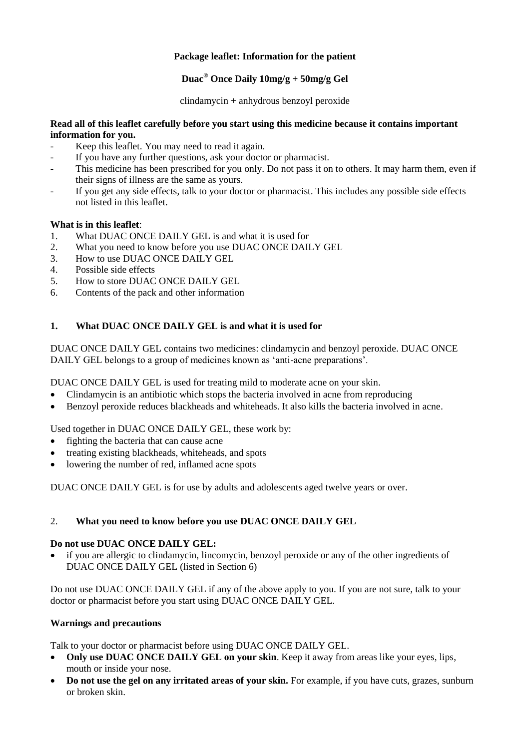# **Package leaflet: Information for the patient**

# **Duac® Once Daily 10mg/g + 50mg/g Gel**

clindamycin + anhydrous benzoyl peroxide

# **Read all of this leaflet carefully before you start using this medicine because it contains important information for you.**

- Keep this leaflet. You may need to read it again.
- If you have any further questions, ask your doctor or pharmacist.
- This medicine has been prescribed for you only. Do not pass it on to others. It may harm them, even if their signs of illness are the same as yours.
- If you get any side effects, talk to your doctor or pharmacist. This includes any possible side effects not listed in this leaflet.

# **What is in this leaflet**:

- 1. What DUAC ONCE DAILY GEL is and what it is used for
- 2. What you need to know before you use DUAC ONCE DAILY GEL
- 3. How to use DUAC ONCE DAILY GEL
- 4. Possible side effects<br>5. How to store DUAC
- 5. How to store DUAC ONCE DAILY GEL
- 6. Contents of the pack and other information

# **1. What DUAC ONCE DAILY GEL is and what it is used for**

DUAC ONCE DAILY GEL contains two medicines: clindamycin and benzoyl peroxide. DUAC ONCE DAILY GEL belongs to a group of medicines known as 'anti-acne preparations'.

DUAC ONCE DAILY GEL is used for treating mild to moderate acne on your skin.

- Clindamycin is an antibiotic which stops the bacteria involved in acne from reproducing
- Benzoyl peroxide reduces blackheads and whiteheads. It also kills the bacteria involved in acne.

Used together in DUAC ONCE DAILY GEL, these work by:

- fighting the bacteria that can cause acne
- treating existing blackheads, whiteheads, and spots
- lowering the number of red, inflamed acne spots

DUAC ONCE DAILY GEL is for use by adults and adolescents aged twelve years or over.

# 2. **What you need to know before you use DUAC ONCE DAILY GEL**

# **Do not use DUAC ONCE DAILY GEL:**

 if you are allergic to clindamycin, lincomycin, benzoyl peroxide or any of the other ingredients of DUAC ONCE DAILY GEL (listed in Section 6)

Do not use DUAC ONCE DAILY GEL if any of the above apply to you. If you are not sure, talk to your doctor or pharmacist before you start using DUAC ONCE DAILY GEL.

# **Warnings and precautions**

Talk to your doctor or pharmacist before using DUAC ONCE DAILY GEL.

- **Only use DUAC ONCE DAILY GEL on your skin**. Keep it away from areas like your eyes, lips, mouth or inside your nose.
- **Do not use the gel on any irritated areas of your skin.** For example, if you have cuts, grazes, sunburn or broken skin.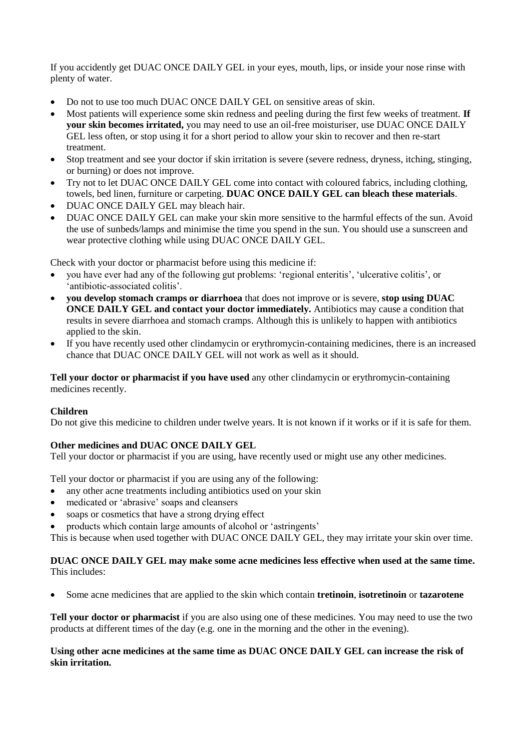If you accidently get DUAC ONCE DAILY GEL in your eyes, mouth, lips, or inside your nose rinse with plenty of water.

- Do not to use too much DUAC ONCE DAILY GEL on sensitive areas of skin.
- Most patients will experience some skin redness and peeling during the first few weeks of treatment. **If your skin becomes irritated,** you may need to use an oil-free moisturiser, use DUAC ONCE DAILY GEL less often, or stop using it for a short period to allow your skin to recover and then re-start treatment.
- Stop treatment and see your doctor if skin irritation is severe (severe redness, dryness, itching, stinging, or burning) or does not improve.
- Try not to let DUAC ONCE DAILY GEL come into contact with coloured fabrics, including clothing, towels, bed linen, furniture or carpeting. **DUAC ONCE DAILY GEL can bleach these materials**.
- DUAC ONCE DAILY GEL may bleach hair.
- DUAC ONCE DAILY GEL can make your skin more sensitive to the harmful effects of the sun. Avoid the use of sunbeds/lamps and minimise the time you spend in the sun. You should use a sunscreen and wear protective clothing while using DUAC ONCE DAILY GEL.

Check with your doctor or pharmacist before using this medicine if:

- you have ever had any of the following gut problems: 'regional enteritis', 'ulcerative colitis', or 'antibiotic-associated colitis'.
- **you develop stomach cramps or diarrhoea** that does not improve or is severe, **stop using DUAC ONCE DAILY GEL and contact your doctor immediately.** Antibiotics may cause a condition that results in severe diarrhoea and stomach cramps. Although this is unlikely to happen with antibiotics applied to the skin.
- If you have recently used other clindamycin or erythromycin-containing medicines, there is an increased chance that DUAC ONCE DAILY GEL will not work as well as it should.

**Tell your doctor or pharmacist if you have used** any other clindamycin or erythromycin-containing medicines recently.

## **Children**

Do not give this medicine to children under twelve years. It is not known if it works or if it is safe for them.

## **Other medicines and DUAC ONCE DAILY GEL**

Tell your doctor or pharmacist if you are using, have recently used or might use any other medicines.

Tell your doctor or pharmacist if you are using any of the following:

- any other acne treatments including antibiotics used on your skin
- medicated or 'abrasive' soaps and cleansers
- soaps or cosmetics that have a strong drying effect
- products which contain large amounts of alcohol or 'astringents'

This is because when used together with DUAC ONCE DAILY GEL, they may irritate your skin over time.

## **DUAC ONCE DAILY GEL may make some acne medicines less effective when used at the same time.** This includes:

Some acne medicines that are applied to the skin which contain **tretinoin**, **isotretinoin** or **tazarotene**

**Tell your doctor or pharmacist** if you are also using one of these medicines. You may need to use the two products at different times of the day (e.g. one in the morning and the other in the evening).

## **Using other acne medicines at the same time as DUAC ONCE DAILY GEL can increase the risk of skin irritation.**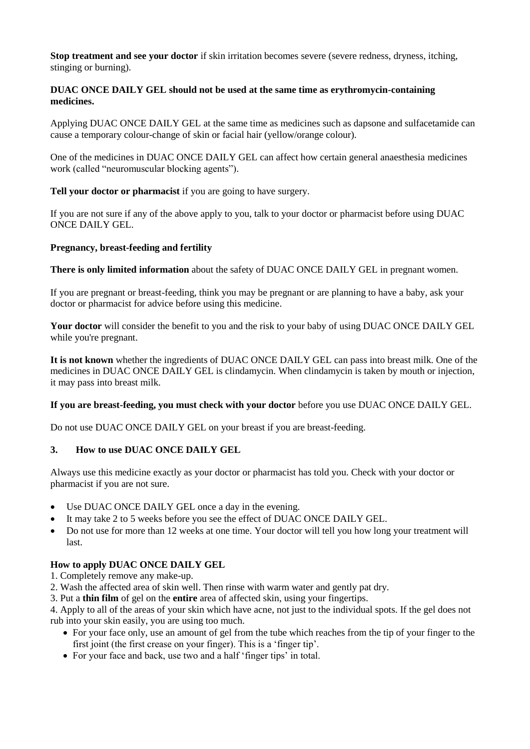**Stop treatment and see your doctor** if skin irritation becomes severe (severe redness, dryness, itching, stinging or burning).

## **DUAC ONCE DAILY GEL should not be used at the same time as erythromycin-containing medicines.**

Applying DUAC ONCE DAILY GEL at the same time as medicines such as dapsone and sulfacetamide can cause a temporary colour-change of skin or facial hair (yellow/orange colour).

One of the medicines in DUAC ONCE DAILY GEL can affect how certain general anaesthesia medicines work (called "neuromuscular blocking agents").

**Tell your doctor or pharmacist** if you are going to have surgery.

If you are not sure if any of the above apply to you, talk to your doctor or pharmacist before using DUAC ONCE DAILY GEL.

## **Pregnancy, breast-feeding and fertility**

**There is only limited information** about the safety of DUAC ONCE DAILY GEL in pregnant women.

If you are pregnant or breast-feeding, think you may be pregnant or are planning to have a baby, ask your doctor or pharmacist for advice before using this medicine.

**Your doctor** will consider the benefit to you and the risk to your baby of using DUAC ONCE DAILY GEL while you're pregnant.

**It is not known** whether the ingredients of DUAC ONCE DAILY GEL can pass into breast milk. One of the medicines in DUAC ONCE DAILY GEL is clindamycin. When clindamycin is taken by mouth or injection, it may pass into breast milk.

**If you are breast-feeding, you must check with your doctor** before you use DUAC ONCE DAILY GEL.

Do not use DUAC ONCE DAILY GEL on your breast if you are breast-feeding.

# **3. How to use DUAC ONCE DAILY GEL**

Always use this medicine exactly as your doctor or pharmacist has told you. Check with your doctor or pharmacist if you are not sure.

- Use DUAC ONCE DAILY GEL once a day in the evening.
- It may take 2 to 5 weeks before you see the effect of DUAC ONCE DAILY GEL.
- Do not use for more than 12 weeks at one time. Your doctor will tell you how long your treatment will last.

# **How to apply DUAC ONCE DAILY GEL**

1. Completely remove any make-up.

- 2. Wash the affected area of skin well. Then rinse with warm water and gently pat dry.
- 3. Put a **thin film** of gel on the **entire** area of affected skin, using your fingertips.

4. Apply to all of the areas of your skin which have acne, not just to the individual spots. If the gel does not rub into your skin easily, you are using too much.

- For your face only, use an amount of gel from the tube which reaches from the tip of your finger to the first joint (the first crease on your finger). This is a 'finger tip'.
- For your face and back, use two and a half 'finger tips' in total.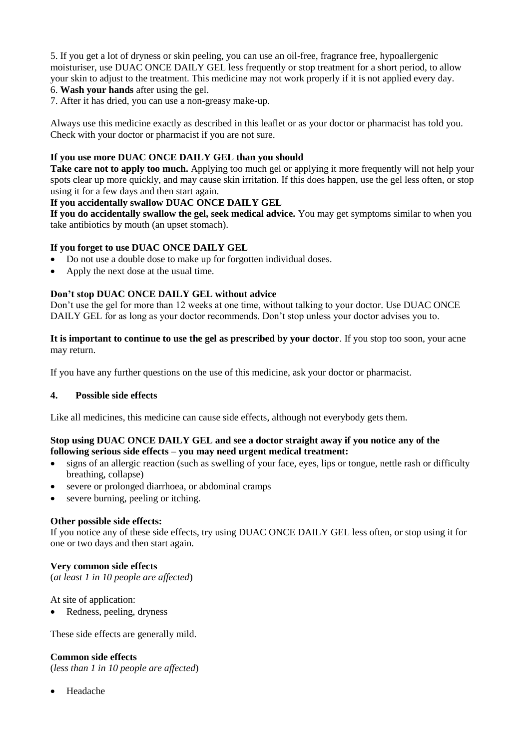5. If you get a lot of dryness or skin peeling, you can use an oil-free, fragrance free, hypoallergenic moisturiser, use DUAC ONCE DAILY GEL less frequently or stop treatment for a short period, to allow your skin to adjust to the treatment. This medicine may not work properly if it is not applied every day. 6. **Wash your hands** after using the gel.

7. After it has dried, you can use a non-greasy make-up.

Always use this medicine exactly as described in this leaflet or as your doctor or pharmacist has told you. Check with your doctor or pharmacist if you are not sure.

## **If you use more DUAC ONCE DAILY GEL than you should**

**Take care not to apply too much.** Applying too much gel or applying it more frequently will not help your spots clear up more quickly, and may cause skin irritation. If this does happen, use the gel less often, or stop using it for a few days and then start again.

## **If you accidentally swallow DUAC ONCE DAILY GEL**

**If you do accidentally swallow the gel, seek medical advice.** You may get symptoms similar to when you take antibiotics by mouth (an upset stomach).

## **If you forget to use DUAC ONCE DAILY GEL**

- Do not use a double dose to make up for forgotten individual doses.
- Apply the next dose at the usual time.

## **Don't stop DUAC ONCE DAILY GEL without advice**

Don't use the gel for more than 12 weeks at one time, without talking to your doctor. Use DUAC ONCE DAILY GEL for as long as your doctor recommends. Don't stop unless your doctor advises you to.

**It is important to continue to use the gel as prescribed by your doctor**. If you stop too soon, your acne may return.

If you have any further questions on the use of this medicine, ask your doctor or pharmacist.

## **4. Possible side effects**

Like all medicines, this medicine can cause side effects, although not everybody gets them.

## **Stop using DUAC ONCE DAILY GEL and see a doctor straight away if you notice any of the following serious side effects – you may need urgent medical treatment:**

- signs of an allergic reaction (such as swelling of your face, eyes, lips or tongue, nettle rash or difficulty breathing, collapse)
- severe or prolonged diarrhoea, or abdominal cramps
- severe burning, peeling or itching.

## **Other possible side effects:**

If you notice any of these side effects, try using DUAC ONCE DAILY GEL less often, or stop using it for one or two days and then start again.

## **Very common side effects**

(*at least 1 in 10 people are affected*)

At site of application:

• Redness, peeling, dryness

These side effects are generally mild.

## **Common side effects**

(*less than 1 in 10 people are affected*)

Headache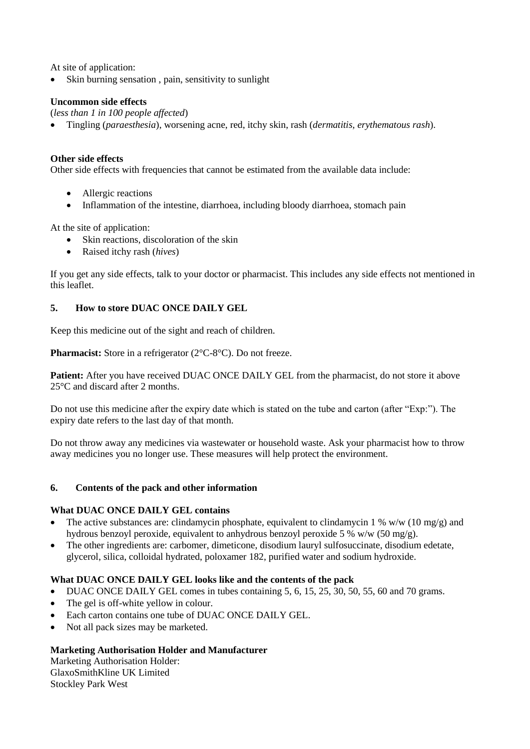At site of application:

Skin burning sensation , pain, sensitivity to sunlight

## **Uncommon side effects**

(*less than 1 in 100 people affected*)

Tingling (*paraesthesia*), worsening acne, red, itchy skin, rash (*dermatitis, erythematous rash*).

## **Other side effects**

Other side effects with frequencies that cannot be estimated from the available data include:

- Allergic reactions
- Inflammation of the intestine, diarrhoea, including bloody diarrhoea, stomach pain

At the site of application:

- Skin reactions, discoloration of the skin
- Raised itchy rash (*hives*)

If you get any side effects, talk to your doctor or pharmacist. This includes any side effects not mentioned in this leaflet.

## **5. How to store DUAC ONCE DAILY GEL**

Keep this medicine out of the sight and reach of children.

**Pharmacist:** Store in a refrigerator (2°C-8°C). Do not freeze.

Patient: After you have received DUAC ONCE DAILY GEL from the pharmacist, do not store it above 25°C and discard after 2 months.

Do not use this medicine after the expiry date which is stated on the tube and carton (after "Exp:"). The expiry date refers to the last day of that month.

Do not throw away any medicines via wastewater or household waste. Ask your pharmacist how to throw away medicines you no longer use. These measures will help protect the environment.

## **6. Contents of the pack and other information**

## **What DUAC ONCE DAILY GEL contains**

- The active substances are: clindamycin phosphate, equivalent to clindamycin 1 % w/w (10 mg/g) and hydrous benzoyl peroxide, equivalent to anhydrous benzoyl peroxide 5 % w/w (50 mg/g).
- The other ingredients are: carbomer, dimeticone, disodium lauryl sulfosuccinate, disodium edetate, glycerol, silica, colloidal hydrated, poloxamer 182, purified water and sodium hydroxide.

## **What DUAC ONCE DAILY GEL looks like and the contents of the pack**

- $\bullet$  DUAC ONCE DAILY GEL comes in tubes containing 5, 6, 15, 25, 30, 50, 55, 60 and 70 grams.
- The gel is off-white yellow in colour.
- Each carton contains one tube of DUAC ONCE DAILY GEL.
- Not all pack sizes may be marketed.

## **Marketing Authorisation Holder and Manufacturer**

Marketing Authorisation Holder: GlaxoSmithKline UK Limited Stockley Park West